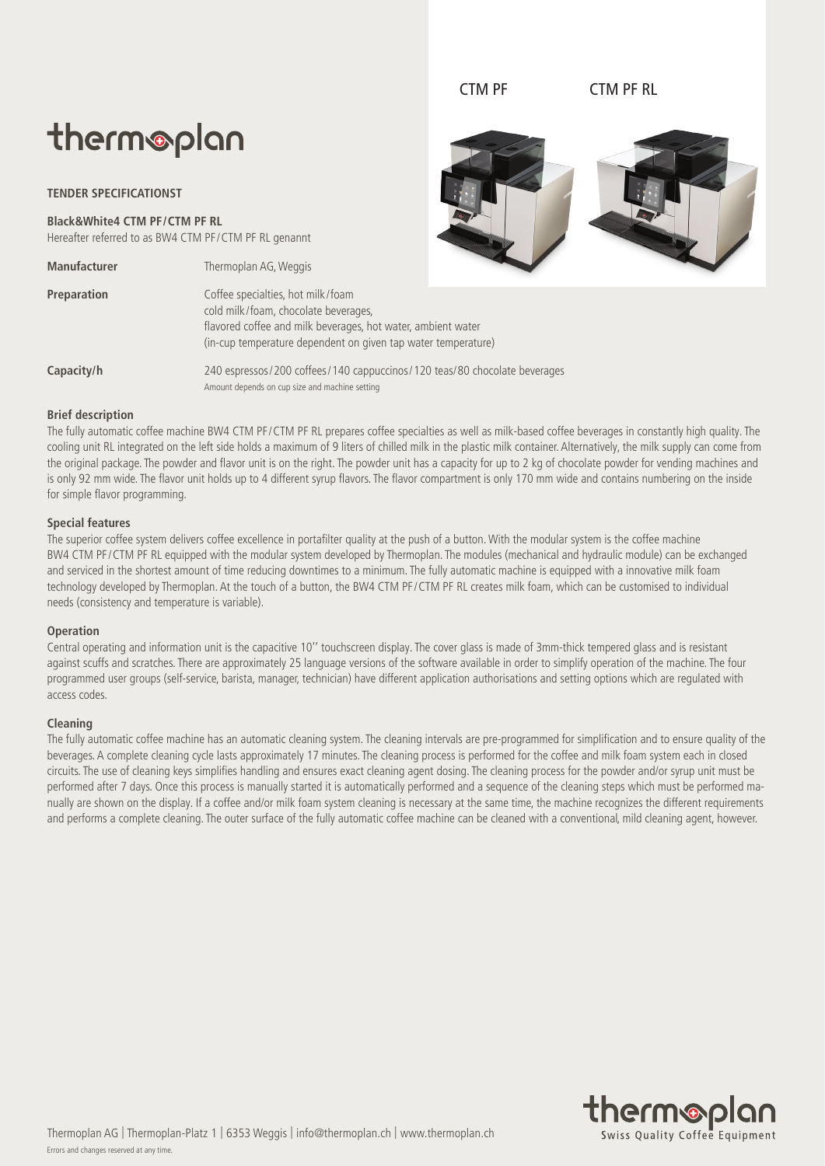# therm®plan

## **TENDER SPECIFICATIONST**

**Black&White4 CTM PF/CTM PF RL**

Hereafter referred to as BW4 CTM PF/CTM PF RL genannt

| <b>Manufacturer</b> | Thermoplan AG, Weggis           |  |
|---------------------|---------------------------------|--|
| <b>Preparation</b>  | Coffee specialties, hot milk/fo |  |



CTM PF CTM PF RL

| Preparation | Coffee specialties, hot milk/foam<br>cold milk/foam, chocolate beverages,<br>flavored coffee and milk beverages, hot water, ambient water<br>(in-cup temperature dependent on given tap water temperature) |
|-------------|------------------------------------------------------------------------------------------------------------------------------------------------------------------------------------------------------------|
|             |                                                                                                                                                                                                            |

Capacity/h 240 espressos/200 coffees/140 cappuccinos/120 teas/80 chocolate beverages Amount depends on cup size and machine setting

#### **Brief description**

The fully automatic coffee machine BW4 CTM PF/CTM PF RL prepares coffee specialties as well as milk-based coffee beverages in constantly high quality. The cooling unit RL integrated on the left side holds a maximum of 9 liters of chilled milk in the plastic milk container. Alternatively, the milk supply can come from the original package. The powder and flavor unit is on the right. The powder unit has a capacity for up to 2 kg of chocolate powder for vending machines and is only 92 mm wide. The flavor unit holds up to 4 different syrup flavors. The flavor compartment is only 170 mm wide and contains numbering on the inside for simple flavor programming.

## **Special features**

The superior coffee system delivers coffee excellence in portafilter quality at the push of a button. With the modular system is the coffee machine BW4 CTM PF/CTM PF RL equipped with the modular system developed by Thermoplan. The modules (mechanical and hydraulic module) can be exchanged and serviced in the shortest amount of time reducing downtimes to a minimum. The fully automatic machine is equipped with a innovative milk foam technology developed by Thermoplan. At the touch of a button, the BW4 CTM PF/CTM PF RL creates milk foam, which can be customised to individual needs (consistency and temperature is variable).

## **Operation**

Central operating and information unit is the capacitive 10'' touchscreen display. The cover glass is made of 3mm-thick tempered glass and is resistant against scuffs and scratches. There are approximately 25 language versions of the software available in order to simplify operation of the machine. The four programmed user groups (self-service, barista, manager, technician) have different application authorisations and setting options which are regulated with access codes.

## **Cleaning**

The fully automatic coffee machine has an automatic cleaning system. The cleaning intervals are pre-programmed for simplification and to ensure quality of the beverages. A complete cleaning cycle lasts approximately 17 minutes. The cleaning process is performed for the coffee and milk foam system each in closed circuits. The use of cleaning keys simplifies handling and ensures exact cleaning agent dosing. The cleaning process for the powder and/or syrup unit must be performed after 7 days. Once this process is manually started it is automatically performed and a sequence of the cleaning steps which must be performed manually are shown on the display. If a coffee and/or milk foam system cleaning is necessary at the same time, the machine recognizes the different requirements and performs a complete cleaning. The outer surface of the fully automatic coffee machine can be cleaned with a conventional, mild cleaning agent, however.